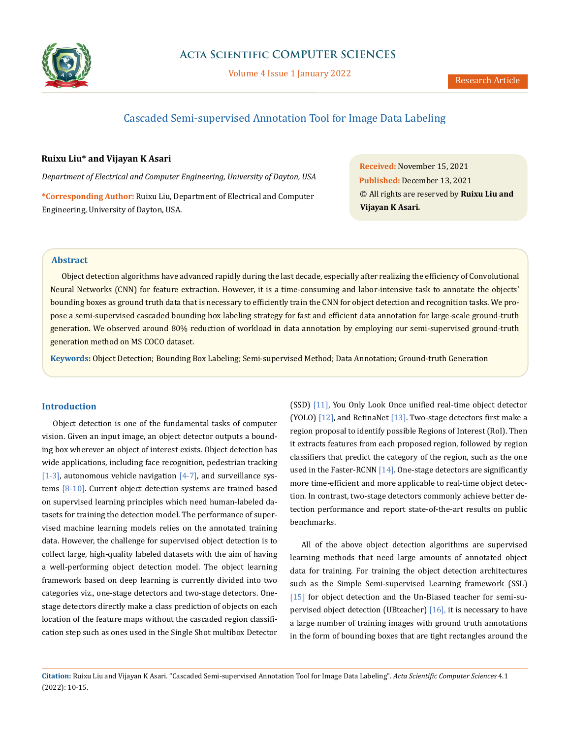

Volume 4 Issue 1 January 2022

# Cascaded Semi-supervised Annotation Tool for Image Data Labeling

### **Ruixu Liu\* and Vijayan K Asari**

*Department of Electrical and Computer Engineering, University of Dayton, USA*

**\*Corresponding Author:** Ruixu Liu, Department of Electrical and Computer Engineering, University of Dayton, USA.

**Received:** November 15, 2021 **Published:** December 13, 2021 © All rights are reserved by **Ruixu Liu and Vijayan K Asari***.*

### **Abstract**

Object detection algorithms have advanced rapidly during the last decade, especially after realizing the efficiency of Convolutional Neural Networks (CNN) for feature extraction. However, it is a time-consuming and labor-intensive task to annotate the objects' bounding boxes as ground truth data that is necessary to efficiently train the CNN for object detection and recognition tasks. We propose a semi-supervised cascaded bounding box labeling strategy for fast and efficient data annotation for large-scale ground-truth generation. We observed around 80% reduction of workload in data annotation by employing our semi-supervised ground-truth generation method on MS COCO dataset.

**Keywords:** Object Detection; Bounding Box Labeling; Semi-supervised Method; Data Annotation; Ground-truth Generation

#### **Introduction**

Object detection is one of the fundamental tasks of computer vision. Given an input image, an object detector outputs a bounding box wherever an object of interest exists. Object detection has wide applications, including face recognition, pedestrian tracking [1-3], autonomous vehicle navigation  $[4-7]$ , and surveillance systems [8-10]. Current object detection systems are trained based on supervised learning principles which need human-labeled datasets for training the detection model. The performance of supervised machine learning models relies on the annotated training data. However, the challenge for supervised object detection is to collect large, high-quality labeled datasets with the aim of having a well-performing object detection model. The object learning framework based on deep learning is currently divided into two categories viz., one-stage detectors and two-stage detectors. Onestage detectors directly make a class prediction of objects on each location of the feature maps without the cascaded region classification step such as ones used in the Single Shot multibox Detector (SSD) [11], You Only Look Once unified real-time object detector (YOLO) [12], and RetinaNet [13]. Two-stage detectors first make a region proposal to identify possible Regions of Interest (RoI). Then it extracts features from each proposed region, followed by region classifiers that predict the category of the region, such as the one used in the Faster-RCNN  $[14]$ . One-stage detectors are significantly more time-efficient and more applicable to real-time object detection. In contrast, two-stage detectors commonly achieve better detection performance and report state-of-the-art results on public benchmarks.

All of the above object detection algorithms are supervised learning methods that need large amounts of annotated object data for training. For training the object detection architectures such as the Simple Semi-supervised Learning framework (SSL) [15] for object detection and the Un-Biased teacher for semi-supervised object detection (UBteacher) [16], it is necessary to have a large number of training images with ground truth annotations in the form of bounding boxes that are tight rectangles around the

**Citation:** Ruixu Liu and Vijayan K Asari*.* "Cascaded Semi-supervised Annotation Tool for Image Data Labeling". *Acta Scientific Computer Sciences* 4.1 (2022): 10-15.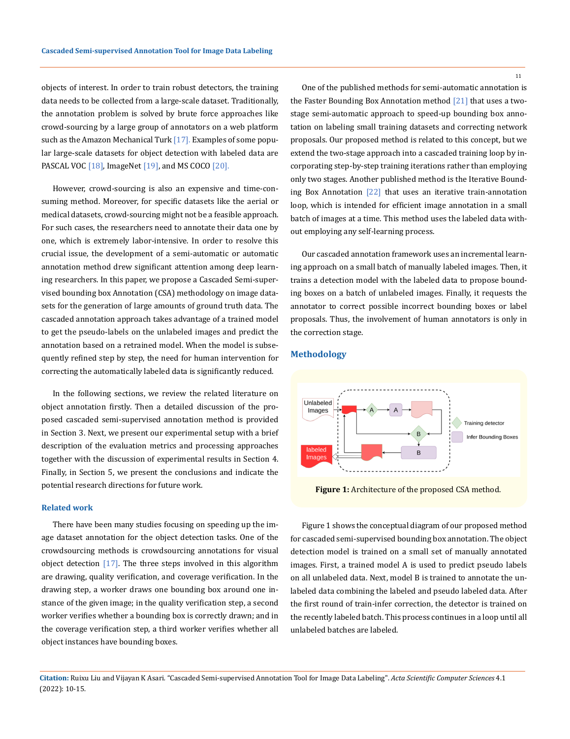objects of interest. In order to train robust detectors, the training data needs to be collected from a large-scale dataset. Traditionally, the annotation problem is solved by brute force approaches like crowd-sourcing by a large group of annotators on a web platform such as the Amazon Mechanical Turk [17]. Examples of some popular large-scale datasets for object detection with labeled data are PASCAL VOC [18], ImageNet [19], and MS COCO [20].

However, crowd-sourcing is also an expensive and time-consuming method. Moreover, for specific datasets like the aerial or medical datasets, crowd-sourcing might not be a feasible approach. For such cases, the researchers need to annotate their data one by one, which is extremely labor-intensive. In order to resolve this crucial issue, the development of a semi-automatic or automatic annotation method drew significant attention among deep learning researchers. In this paper, we propose a Cascaded Semi-supervised bounding box Annotation (CSA) methodology on image datasets for the generation of large amounts of ground truth data. The cascaded annotation approach takes advantage of a trained model to get the pseudo-labels on the unlabeled images and predict the annotation based on a retrained model. When the model is subsequently refined step by step, the need for human intervention for correcting the automatically labeled data is significantly reduced.

In the following sections, we review the related literature on object annotation firstly. Then a detailed discussion of the proposed cascaded semi-supervised annotation method is provided in Section 3. Next, we present our experimental setup with a brief description of the evaluation metrics and processing approaches together with the discussion of experimental results in Section 4. Finally, in Section 5, we present the conclusions and indicate the potential research directions for future work.

#### **Related work**

There have been many studies focusing on speeding up the image dataset annotation for the object detection tasks. One of the crowdsourcing methods is crowdsourcing annotations for visual object detection  $[17]$ . The three steps involved in this algorithm are drawing, quality verification, and coverage verification. In the drawing step, a worker draws one bounding box around one instance of the given image; in the quality verification step, a second worker verifies whether a bounding box is correctly drawn; and in the coverage verification step, a third worker verifies whether all object instances have bounding boxes.

One of the published methods for semi-automatic annotation is the Faster Bounding Box Annotation method [21] that uses a twostage semi-automatic approach to speed-up bounding box annotation on labeling small training datasets and correcting network proposals. Our proposed method is related to this concept, but we extend the two-stage approach into a cascaded training loop by incorporating step-by-step training iterations rather than employing only two stages. Another published method is the Iterative Bounding Box Annotation [22] that uses an iterative train-annotation loop, which is intended for efficient image annotation in a small batch of images at a time. This method uses the labeled data without employing any self-learning process.

Our cascaded annotation framework uses an incremental learning approach on a small batch of manually labeled images. Then, it trains a detection model with the labeled data to propose bounding boxes on a batch of unlabeled images. Finally, it requests the annotator to correct possible incorrect bounding boxes or label proposals. Thus, the involvement of human annotators is only in the correction stage.

### **Methodology**



 **Figure 1:** Architecture of the proposed CSA method.

Figure 1 shows the conceptual diagram of our proposed method for cascaded semi-supervised bounding box annotation. The object detection model is trained on a small set of manually annotated images. First, a trained model A is used to predict pseudo labels on all unlabeled data. Next, model B is trained to annotate the unlabeled data combining the labeled and pseudo labeled data. After the first round of train-infer correction, the detector is trained on the recently labeled batch. This process continues in a loop until all unlabeled batches are labeled.

**Citation:** Ruixu Liu and Vijayan K Asari*.* "Cascaded Semi-supervised Annotation Tool for Image Data Labeling". *Acta Scientific Computer Sciences* 4.1 (2022): 10-15.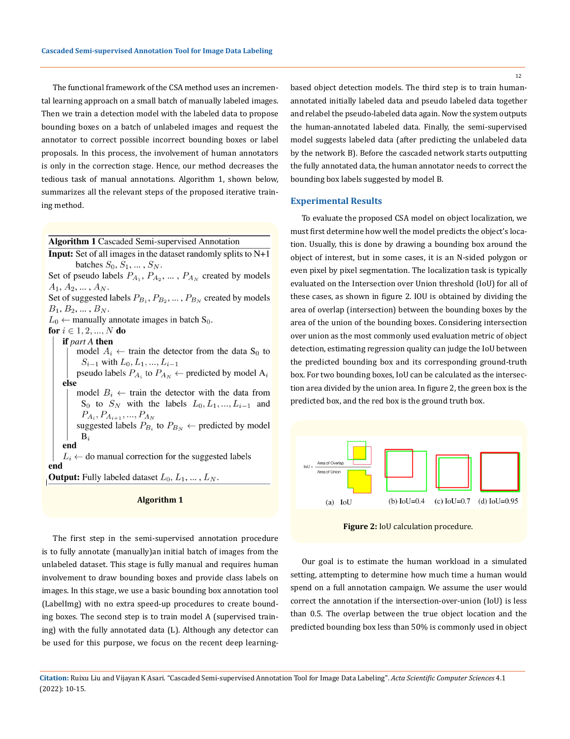The functional framework of the CSA method uses an incremental learning approach on a small batch of manually labeled images. Then we train a detection model with the labeled data to propose bounding boxes on a batch of unlabeled images and request the annotator to correct possible incorrect bounding boxes or label proposals. In this process, the involvement of human annotators is only in the correction stage. Hence, our method decreases the tedious task of manual annotations. Algorithm 1, shown below, summarizes all the relevant steps of the proposed iterative training method.

**Algorithm 1 Cascaded Semi-supervised Annotation** 

**Input:** Set of all images in the dataset randomly splits to  $N+1$ batches  $S_0$ ,  $S_1$ , ...,  $S_N$ . Set of pseudo labels  $P_{A_1}, P_{A_2}, \ldots, P_{A_N}$  created by models  $A_1, A_2, \ldots, A_N.$ 

Set of suggested labels  $P_{B_1}, P_{B_2}, \dots, P_{B_N}$  created by models  $B_1, B_2, \ldots, B_N.$ 

 $L_0 \leftarrow$  manually annotate images in batch S<sub>0</sub>.

### for  $i \in {1, 2, ..., N}$  do

if part A then

model  $A_i \leftarrow$  train the detector from the data S<sub>0</sub> to  $S_{i-1}$  with  $L_0, L_1, ..., L_{i-1}$ 

pseudo labels  $P_{A_i}$  to  $P_{A_N}$   $\leftarrow$  predicted by model  $A_i$ else

model  $B_i \leftarrow$  train the detector with the data from  $S_0$  to  $S_N$  with the labels  $L_0, L_1, ..., L_{i-1}$  and  $P_{A_i}, P_{A_{i+1}}, ..., P_{A_N}$ suggested labels  $P_{B_i}$  to  $P_{B_N}$   $\leftarrow$  predicted by model  $\mathrm{B}_i$ end

 $L_i \leftarrow$  do manual correction for the suggested labels end

**Output:** Fully labeled dataset  $L_0, L_1, ..., L_N$ .

#### **Algorithm 1**

The first step in the semi-supervised annotation procedure is to fully annotate (manually)an initial batch of images from the unlabeled dataset. This stage is fully manual and requires human involvement to draw bounding boxes and provide class labels on images. In this stage, we use a basic bounding box annotation tool (LabelImg) with no extra speed-up procedures to create bounding boxes. The second step is to train model A (supervised training) with the fully annotated data (L). Although any detector can be used for this purpose, we focus on the recent deep learningbased object detection models. The third step is to train humanannotated initially labeled data and pseudo labeled data together and relabel the pseudo-labeled data again. Now the system outputs

the human-annotated labeled data. Finally, the semi-supervised model suggests labeled data (after predicting the unlabeled data by the network B). Before the cascaded network starts outputting the fully annotated data, the human annotator needs to correct the bounding box labels suggested by model B.

#### **Experimental Results**

To evaluate the proposed CSA model on object localization, we must first determine how well the model predicts the object's location. Usually, this is done by drawing a bounding box around the object of interest, but in some cases, it is an N-sided polygon or even pixel by pixel segmentation. The localization task is typically evaluated on the Intersection over Union threshold (IoU) for all of these cases, as shown in figure 2. IOU is obtained by dividing the area of overlap (intersection) between the bounding boxes by the area of the union of the bounding boxes. Considering intersection over union as the most commonly used evaluation metric of object detection, estimating regression quality can judge the IoU between the predicted bounding box and its corresponding ground-truth box. For two bounding boxes, IoU can be calculated as the intersection area divided by the union area. In figure 2, the green box is the predicted box, and the red box is the ground truth box.



 **Figure 2:** IoU calculation procedure.

Our goal is to estimate the human workload in a simulated setting, attempting to determine how much time a human would spend on a full annotation campaign. We assume the user would correct the annotation if the intersection-over-union (IoU) is less than 0.5. The overlap between the true object location and the predicted bounding box less than 50% is commonly used in object

**Citation:** Ruixu Liu and Vijayan K Asari*.* "Cascaded Semi-supervised Annotation Tool for Image Data Labeling". *Acta Scientific Computer Sciences* 4.1 (2022): 10-15.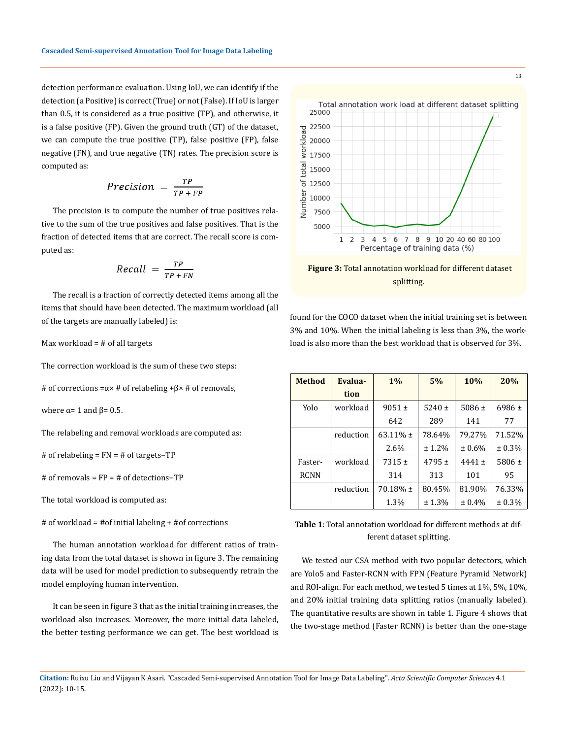detection performance evaluation. Using IoU, we can identify if the detection (a Positive) is correct (True) or not (False). If IoU is larger than 0.5, it is considered as a true positive (TP), and otherwise, it is a false positive (FP). Given the ground truth (GT) of the dataset, we can compute the true positive (TP), false positive (FP), false negative (FN), and true negative (TN) rates. The precision score is computed as:

$$
Precision = \frac{TP}{TP + FP}
$$

The precision is to compute the number of true positives relative to the sum of the true positives and false positives. That is the fraction of detected items that are correct. The recall score is computed as:

$$
Recall = \frac{TP}{TP + FN}
$$

The recall is a fraction of correctly detected items among all the items that should have been detected. The maximum workload (all of the targets are manually labeled) is:

Max workload = # of all targets

The correction workload is the sum of these two steps:

# of corrections = $α \times #$  of relabeling + $β \times #$  of removals,

where  $\alpha$ = 1 and  $\beta$ = 0.5.

The relabeling and removal workloads are computed as:

# of relabeling = FN = # of targets−TP

# of removals = FP = # of detections−TP

The total workload is computed as:

# of workload = #of initial labeling + #of corrections

The human annotation workload for different ratios of training data from the total dataset is shown in figure 3. The remaining data will be used for model prediction to subsequently retrain the model employing human intervention.

It can be seen in figure 3 that as the initial training increases, the workload also increases. Moreover, the more initial data labeled, the better testing performance we can get. The best workload is



 **Figure 3:** Total annotation workload for different dataset splitting.

found for the COCO dataset when the initial training set is between 3% and 10%. When the initial labeling is less than 3%, the workload is also more than the best workload that is observed for 3%.

| <b>Method</b> | Evalua-   | $1\%$       | 5%         | 10%        | 20%        |
|---------------|-----------|-------------|------------|------------|------------|
|               | tion      |             |            |            |            |
| Yolo          | workload  | $9051 \pm$  | $5240 \pm$ | 5086 $\pm$ | $6986 \pm$ |
|               |           | 642         | 289        | 141        | 77         |
|               | reduction | $63.11\%$ ± | 78.64%     | 79.27%     | 71.52%     |
|               |           | 2.6%        | ± 1.2%     | ± 0.6%     | ± 0.3%     |
| Faster-       | workload  | $7315 \pm$  | $4795 \pm$ | $4441 \pm$ | $5806 \pm$ |
| <b>RCNN</b>   |           | 314         | 313        | 101        | 95         |
|               | reduction | $70.18\%$ ± | 80.45%     | 81.90%     | 76.33%     |
|               |           | 1.3%        | ± 1.3%     | ± 0.4%     | ± 0.3%     |

**Table 1**: Total annotation workload for different methods at different dataset splitting.

We tested our CSA method with two popular detectors, which are Yolo5 and Faster-RCNN with FPN (Feature Pyramid Network) and ROI-align. For each method, we tested 5 times at 1%, 5%, 10%, and 20% initial training data splitting ratios (manually labeled). The quantitative results are shown in table 1. Figure 4 shows that the two-stage method (Faster RCNN) is better than the one-stage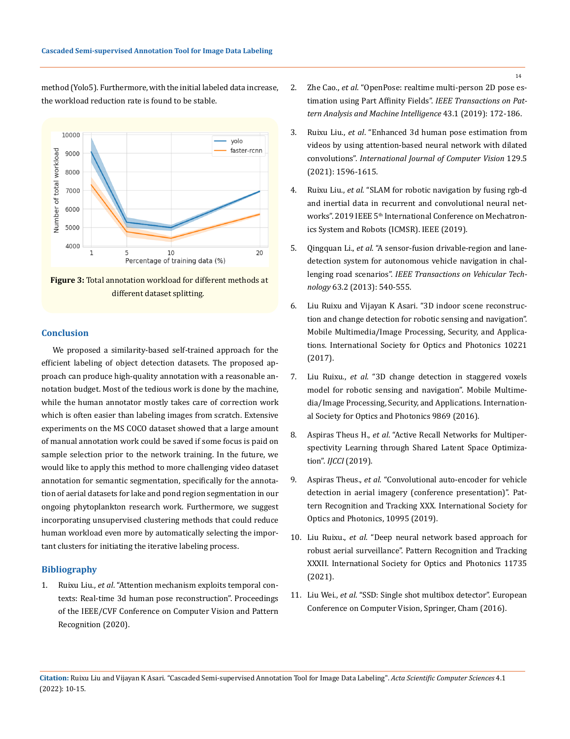method (Yolo5). Furthermore, with the initial labeled data increase, the workload reduction rate is found to be stable.





### **Conclusion**

We proposed a similarity-based self-trained approach for the efficient labeling of object detection datasets. The proposed approach can produce high-quality annotation with a reasonable annotation budget. Most of the tedious work is done by the machine, while the human annotator mostly takes care of correction work which is often easier than labeling images from scratch. Extensive experiments on the MS COCO dataset showed that a large amount of manual annotation work could be saved if some focus is paid on sample selection prior to the network training. In the future, we would like to apply this method to more challenging video dataset annotation for semantic segmentation, specifically for the annotation of aerial datasets for lake and pond region segmentation in our ongoing phytoplankton research work. Furthermore, we suggest incorporating unsupervised clustering methods that could reduce human workload even more by automatically selecting the important clusters for initiating the iterative labeling process.

#### **Bibliography**

1. Ruixu Liu., *et al*[. "Attention mechanism exploits temporal con](https://openaccess.thecvf.com/content_CVPR_2020/papers/Liu_Attention_Mechanism_Exploits_Temporal_Contexts_Real-Time_3D_Human_Pose_Reconstruction_CVPR_2020_paper.pdf)[texts: Real-time 3d human pose reconstruction". Proceedings](https://openaccess.thecvf.com/content_CVPR_2020/papers/Liu_Attention_Mechanism_Exploits_Temporal_Contexts_Real-Time_3D_Human_Pose_Reconstruction_CVPR_2020_paper.pdf)  [of the IEEE/CVF Conference on Computer Vision and Pattern](https://openaccess.thecvf.com/content_CVPR_2020/papers/Liu_Attention_Mechanism_Exploits_Temporal_Contexts_Real-Time_3D_Human_Pose_Reconstruction_CVPR_2020_paper.pdf)  [Recognition \(2020\).](https://openaccess.thecvf.com/content_CVPR_2020/papers/Liu_Attention_Mechanism_Exploits_Temporal_Contexts_Real-Time_3D_Human_Pose_Reconstruction_CVPR_2020_paper.pdf)

- 2. Zhe Cao., *et al*[. "OpenPose: realtime multi-person 2D pose es](https://ieeexplore.ieee.org/stamp/stamp.jsp?arnumber=8765346&casa_token=0KRpma83r8YAAAAA:kxZG85OZzrBLcZJQ8ZW5XZaxd2Ad2tr2e7Ht9I3P892zhQ9kkemGrpghYD45s1gHGr_jRHtj3jZL)[timation using Part Affinity Fields".](https://ieeexplore.ieee.org/stamp/stamp.jsp?arnumber=8765346&casa_token=0KRpma83r8YAAAAA:kxZG85OZzrBLcZJQ8ZW5XZaxd2Ad2tr2e7Ht9I3P892zhQ9kkemGrpghYD45s1gHGr_jRHtj3jZL) *IEEE Transactions on Pat[tern Analysis and Machine Intelligence](https://ieeexplore.ieee.org/stamp/stamp.jsp?arnumber=8765346&casa_token=0KRpma83r8YAAAAA:kxZG85OZzrBLcZJQ8ZW5XZaxd2Ad2tr2e7Ht9I3P892zhQ9kkemGrpghYD45s1gHGr_jRHtj3jZL)* 43.1 (2019): 172-186.
- 3. Ruixu Liu., *et al*[. "Enhanced 3d human pose estimation from](https://link.springer.com/article/10.1007/s11263-021-01436-0)  [videos by using attention-based neural network with dilated](https://link.springer.com/article/10.1007/s11263-021-01436-0)  convolutions". *[International Journal of Computer Vision](https://link.springer.com/article/10.1007/s11263-021-01436-0)* 129.5 [\(2021\): 1596-1615.](https://link.springer.com/article/10.1007/s11263-021-01436-0)
- 4. Ruixu Liu., *et al*[. "SLAM for robotic navigation by fusing rgb-d](https://ieeexplore.ieee.org/abstract/document/8835472)  [and inertial data in recurrent and convolutional neural net](https://ieeexplore.ieee.org/abstract/document/8835472)works". 2019 IEEE 5<sup>th</sup> International Conference on Mechatron[ics System and Robots \(ICMSR\). IEEE \(2019\).](https://ieeexplore.ieee.org/abstract/document/8835472)
- 5. Qingquan Li., *et al*[. "A sensor-fusion drivable-region and lane](https://ieeexplore.ieee.org/stamp/stamp.jsp?arnumber=6594920&casa_token=naFFmPcmwIcAAAAA:07_peO0sG089wju2_sGXrgXOlo0RoJasy9QeyVoK8kLJH7WP313SxInyJu0H8BUCREESlJFUszCK)[detection system for autonomous vehicle navigation in chal](https://ieeexplore.ieee.org/stamp/stamp.jsp?arnumber=6594920&casa_token=naFFmPcmwIcAAAAA:07_peO0sG089wju2_sGXrgXOlo0RoJasy9QeyVoK8kLJH7WP313SxInyJu0H8BUCREESlJFUszCK)lenging road scenarios". *[IEEE Transactions on Vehicular Tech](https://ieeexplore.ieee.org/stamp/stamp.jsp?arnumber=6594920&casa_token=naFFmPcmwIcAAAAA:07_peO0sG089wju2_sGXrgXOlo0RoJasy9QeyVoK8kLJH7WP313SxInyJu0H8BUCREESlJFUszCK)nology* [63.2 \(2013\): 540-555.](https://ieeexplore.ieee.org/stamp/stamp.jsp?arnumber=6594920&casa_token=naFFmPcmwIcAAAAA:07_peO0sG089wju2_sGXrgXOlo0RoJasy9QeyVoK8kLJH7WP313SxInyJu0H8BUCREESlJFUszCK)
- 6. [Liu Ruixu and Vijayan K Asari. "3D indoor scene reconstruc](https://www.spiedigitallibrary.org/conference-proceedings-of-spie/10221/102210D/3D-indoor-scene-reconstruction-and-change-detection-for-robotic-sensing/10.1117/12.2262831.short?SSO=1)[tion and change detection for robotic sensing and navigation".](https://www.spiedigitallibrary.org/conference-proceedings-of-spie/10221/102210D/3D-indoor-scene-reconstruction-and-change-detection-for-robotic-sensing/10.1117/12.2262831.short?SSO=1)  [Mobile Multimedia/Image Processing, Security, and Applica](https://www.spiedigitallibrary.org/conference-proceedings-of-spie/10221/102210D/3D-indoor-scene-reconstruction-and-change-detection-for-robotic-sensing/10.1117/12.2262831.short?SSO=1)[tions. International Society for Optics and Photonics 10221](https://www.spiedigitallibrary.org/conference-proceedings-of-spie/10221/102210D/3D-indoor-scene-reconstruction-and-change-detection-for-robotic-sensing/10.1117/12.2262831.short?SSO=1)  [\(2017\).](https://www.spiedigitallibrary.org/conference-proceedings-of-spie/10221/102210D/3D-indoor-scene-reconstruction-and-change-detection-for-robotic-sensing/10.1117/12.2262831.short?SSO=1)
- 7. Liu Ruixu., *et al*[. "3D change detection in staggered voxels](https://www.spiedigitallibrary.org/conference-proceedings-of-spie/9869/98690J/3D-change-detection-in-staggered-voxels-model-for-robotic-sensing/10.1117/12.2227215.short)  [model for robotic sensing and navigation". Mobile Multime](https://www.spiedigitallibrary.org/conference-proceedings-of-spie/9869/98690J/3D-change-detection-in-staggered-voxels-model-for-robotic-sensing/10.1117/12.2227215.short)[dia/Image Processing, Security, and Applications. Internation](https://www.spiedigitallibrary.org/conference-proceedings-of-spie/9869/98690J/3D-change-detection-in-staggered-voxels-model-for-robotic-sensing/10.1117/12.2227215.short)[al Society for Optics and Photonics 9869 \(2016\).](https://www.spiedigitallibrary.org/conference-proceedings-of-spie/9869/98690J/3D-change-detection-in-staggered-voxels-model-for-robotic-sensing/10.1117/12.2227215.short)
- 8. Aspiras Theus H., *et al*[. "Active Recall Networks for Multiper](https://www.scitepress.org/Papers/2019/83693/83693.pdf)[spectivity Learning through Shared Latent Space Optimiza](https://www.scitepress.org/Papers/2019/83693/83693.pdf)tion". *IJCCI* [\(2019\).](https://www.scitepress.org/Papers/2019/83693/83693.pdf)
- 9. Aspiras Theus., *et al*[. "Convolutional auto-encoder for vehicle](https://www.spiedigitallibrary.org/conference-proceedings-of-spie/10995/109950D/Convolutional-auto-encoder-for-vehicle-detection-in-aerial-imagery-Conference/10.1117/12.2520253.short?sessionGUID=ad883c9d-902b-c999-3ced-268bead49a28&sessionGUID=ad883c9d-902b-c999-3ced-268bead49a28&webSyncID=a0ce46e9-e6ec-7a49-dab6-a0cbad059329)  [detection in aerial imagery \(conference presentation\)". Pat](https://www.spiedigitallibrary.org/conference-proceedings-of-spie/10995/109950D/Convolutional-auto-encoder-for-vehicle-detection-in-aerial-imagery-Conference/10.1117/12.2520253.short?sessionGUID=ad883c9d-902b-c999-3ced-268bead49a28&sessionGUID=ad883c9d-902b-c999-3ced-268bead49a28&webSyncID=a0ce46e9-e6ec-7a49-dab6-a0cbad059329)[tern Recognition and Tracking XXX. International Society for](https://www.spiedigitallibrary.org/conference-proceedings-of-spie/10995/109950D/Convolutional-auto-encoder-for-vehicle-detection-in-aerial-imagery-Conference/10.1117/12.2520253.short?sessionGUID=ad883c9d-902b-c999-3ced-268bead49a28&sessionGUID=ad883c9d-902b-c999-3ced-268bead49a28&webSyncID=a0ce46e9-e6ec-7a49-dab6-a0cbad059329)  [Optics and Photonics, 10995 \(2019\).](https://www.spiedigitallibrary.org/conference-proceedings-of-spie/10995/109950D/Convolutional-auto-encoder-for-vehicle-detection-in-aerial-imagery-Conference/10.1117/12.2520253.short?sessionGUID=ad883c9d-902b-c999-3ced-268bead49a28&sessionGUID=ad883c9d-902b-c999-3ced-268bead49a28&webSyncID=a0ce46e9-e6ec-7a49-dab6-a0cbad059329)
- 10. Liu Ruixu., *et al*[. "Deep neural network based approach for](https://www.spiedigitallibrary.org/conference-proceedings-of-spie/11735/117350B/Deep-neural-network-based-approach-for-robust-aerial-surveillance/10.1117/12.2591194.short)  [robust aerial surveillance". Pattern Recognition and Tracking](https://www.spiedigitallibrary.org/conference-proceedings-of-spie/11735/117350B/Deep-neural-network-based-approach-for-robust-aerial-surveillance/10.1117/12.2591194.short)  [XXXII. International Society for Optics and Photonics 11735](https://www.spiedigitallibrary.org/conference-proceedings-of-spie/11735/117350B/Deep-neural-network-based-approach-for-robust-aerial-surveillance/10.1117/12.2591194.short)  [\(2021\).](https://www.spiedigitallibrary.org/conference-proceedings-of-spie/11735/117350B/Deep-neural-network-based-approach-for-robust-aerial-surveillance/10.1117/12.2591194.short)
- 11. Liu Wei., *et al*[. "SSD: Single shot multibox detector". European](https://link.springer.com/chapter/10.1007/978-3-319-46448-0_2)  [Conference on Computer Vision, Springer, Cham \(2016\).](https://link.springer.com/chapter/10.1007/978-3-319-46448-0_2)